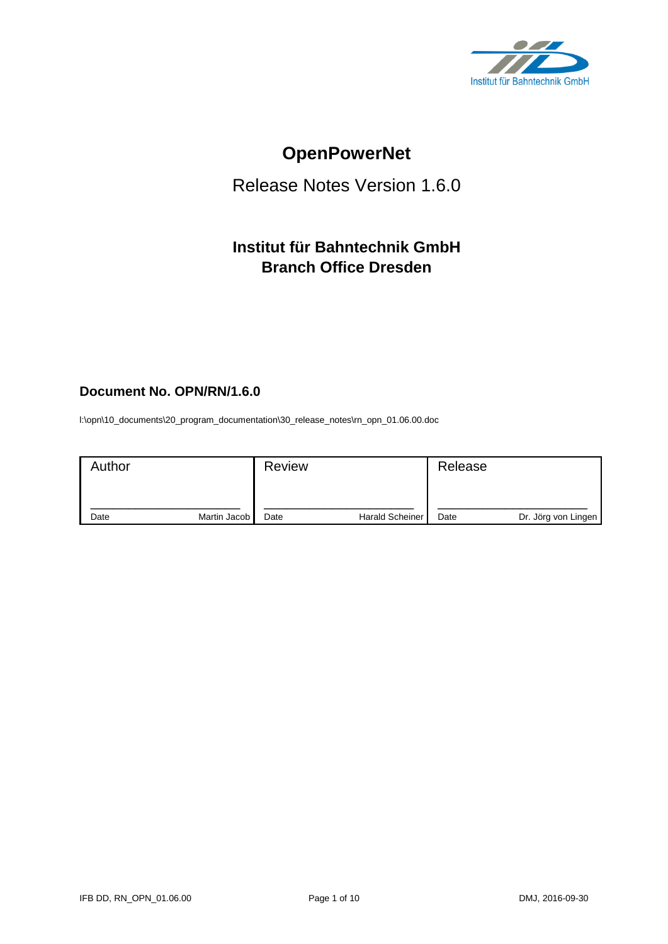

# **OpenPowerNet**

# Release Notes Version 1.6.0

# **Institut für Bahntechnik GmbH Branch Office Dresden**

# **Document No. OPN/RN/1.6.0**

l:\opn\10\_documents\20\_program\_documentation\30\_release\_notes\rn\_opn\_01.06.00.doc

| Author |              | <b>Review</b> |                        | Release |                     |
|--------|--------------|---------------|------------------------|---------|---------------------|
| Date   | Martin Jacob | Date          | <b>Harald Scheiner</b> | Date    | Dr. Jörg von Lingen |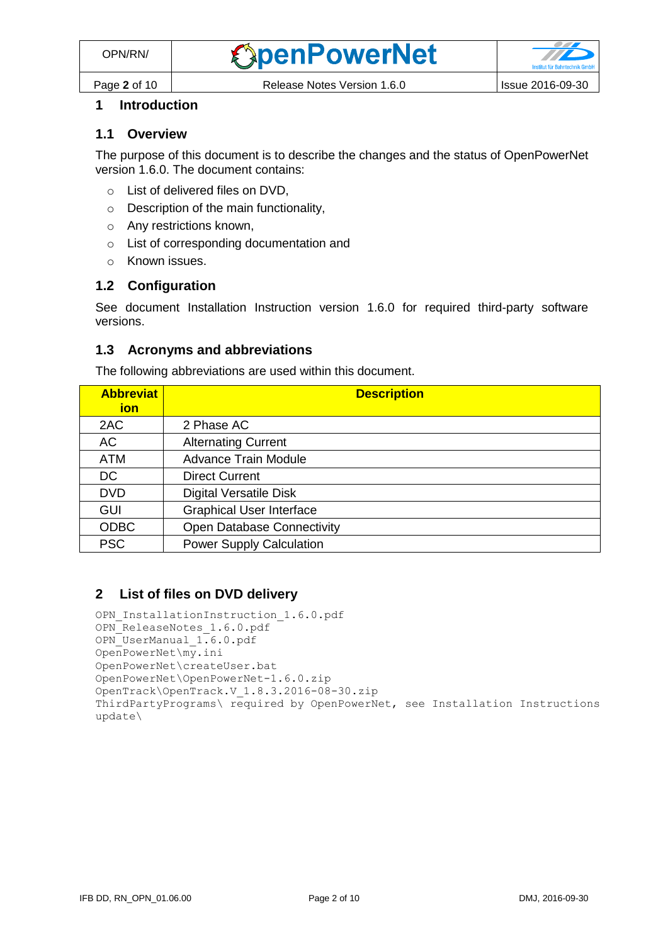

# **1 Introduction**

### **1.1 Overview**

The purpose of this document is to describe the changes and the status of OpenPowerNet version 1.6.0. The document contains:

- o List of delivered files on DVD,
- o Description of the main functionality,
- o Any restrictions known,
- o List of corresponding documentation and
- o Known issues.

### **1.2 Configuration**

See document Installation Instruction version 1.6.0 for required third-party software versions.

#### **1.3 Acronyms and abbreviations**

The following abbreviations are used within this document.

| <b>Abbreviat</b><br>ion | <b>Description</b>                |
|-------------------------|-----------------------------------|
| 2AC                     | 2 Phase AC                        |
| AC                      | <b>Alternating Current</b>        |
| <b>ATM</b>              | <b>Advance Train Module</b>       |
| DC                      | <b>Direct Current</b>             |
| <b>DVD</b>              | <b>Digital Versatile Disk</b>     |
| <b>GUI</b>              | <b>Graphical User Interface</b>   |
| <b>ODBC</b>             | <b>Open Database Connectivity</b> |
| <b>PSC</b>              | <b>Power Supply Calculation</b>   |

## **2 List of files on DVD delivery**

```
OPN InstallationInstruction 1.6.0.pdf
OPN_ReleaseNotes_1.6.0.pdf
OPN_UserManual_1.6.0.pdf
OpenPowerNet\my.ini
OpenPowerNet\createUser.bat
OpenPowerNet\OpenPowerNet-1.6.0.zip
OpenTrack\OpenTrack.V_1.8.3.2016-08-30.zip
ThirdPartyPrograms\ required by OpenPowerNet, see Installation Instructions
update\
```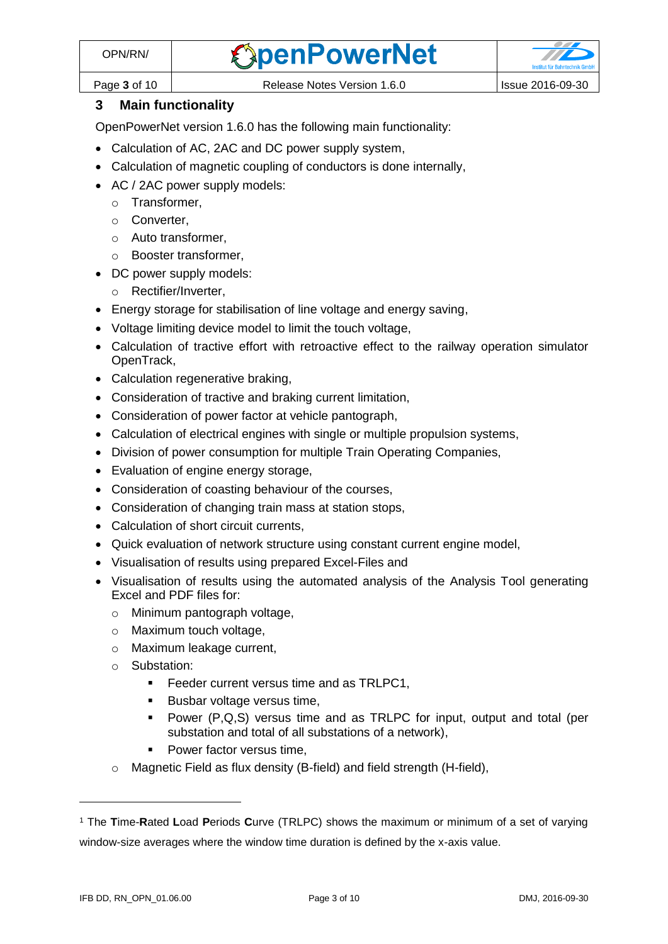

Page **3** of 10 **Release Notes Version 1.6.0** Issue 2016-09-30

# **3 Main functionality**

OpenPowerNet version 1.6.0 has the following main functionality:

- Calculation of AC, 2AC and DC power supply system,
- Calculation of magnetic coupling of conductors is done internally,
- AC / 2AC power supply models:
	- o Transformer,
	- o Converter,
	- o Auto transformer,
	- o Booster transformer,
- DC power supply models:
	- o Rectifier/Inverter,
- Energy storage for stabilisation of line voltage and energy saving,
- Voltage limiting device model to limit the touch voltage,
- Calculation of tractive effort with retroactive effect to the railway operation simulator OpenTrack,
- Calculation regenerative braking,
- Consideration of tractive and braking current limitation,
- Consideration of power factor at vehicle pantograph,
- Calculation of electrical engines with single or multiple propulsion systems,
- Division of power consumption for multiple Train Operating Companies,
- Evaluation of engine energy storage,
- Consideration of coasting behaviour of the courses,
- Consideration of changing train mass at station stops,
- Calculation of short circuit currents,
- Quick evaluation of network structure using constant current engine model,
- Visualisation of results using prepared Excel-Files and
- <span id="page-2-0"></span>• Visualisation of results using the automated analysis of the Analysis Tool generating Excel and PDF files for:
	- o Minimum pantograph voltage,
	- o Maximum touch voltage,
	- o Maximum leakage current,
	- o Substation:
		- **Feeder current versus time and as TRLPC1,**
		- Busbar voltage versus time,
		- Power (P,Q,S) versus time and as TRLPC for input, output and total (per substation and total of all substations of a network),
		- Power factor versus time,
	- o Magnetic Field as flux density (B-field) and field strength (H-field),

 $\overline{a}$ 

<sup>1</sup> The **T**ime-**R**ated **L**oad **P**eriods **C**urve (TRLPC) shows the maximum or minimum of a set of varying window-size averages where the window time duration is defined by the x-axis value.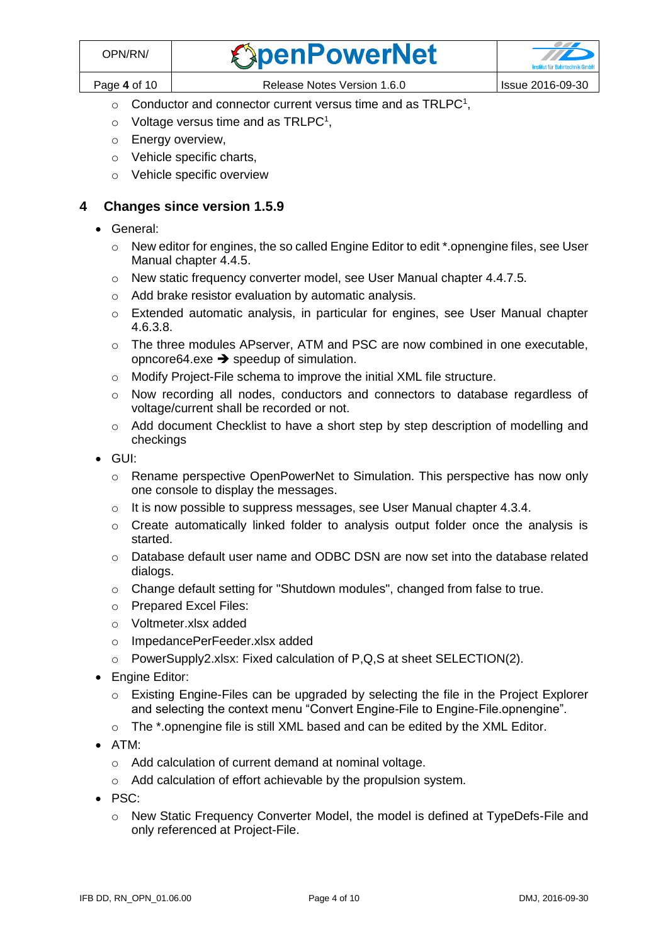- $\circ$  [C](#page-2-0)onductor and connector current versus time and as TRLPC<sup>1</sup>,
- $\circ$  Voltage versus time and as TRLPC<sup>[1](#page-2-0)</sup>,
- o Energy overview,
- o Vehicle specific charts,
- o Vehicle specific overview

## **4 Changes since version 1.5.9**

- General:
	- o New editor for engines, the so called Engine Editor to edit \*.opnengine files, see User Manual chapter 4.4.5.
	- o New static frequency converter model, see User Manual chapter 4.4.7.5.
	- o Add brake resistor evaluation by automatic analysis.
	- o Extended automatic analysis, in particular for engines, see User Manual chapter 4.6.3.8.
	- $\circ$  The three modules APserver, ATM and PSC are now combined in one executable, opncore 64.exe  $\rightarrow$  speedup of simulation.
	- o Modify Project-File schema to improve the initial XML file structure.
	- o Now recording all nodes, conductors and connectors to database regardless of voltage/current shall be recorded or not.
	- $\circ$  Add document Checklist to have a short step by step description of modelling and checkings
- GUI:
	- $\circ$  Rename perspective OpenPowerNet to Simulation. This perspective has now only one console to display the messages.
	- o It is now possible to suppress messages, see User Manual chapter 4.3.4.
	- $\circ$  Create automatically linked folder to analysis output folder once the analysis is started.
	- o Database default user name and ODBC DSN are now set into the database related dialogs.
	- o Change default setting for "Shutdown modules", changed from false to true.
	- o Prepared Excel Files:
	- o Voltmeter.xlsx added
	- o ImpedancePerFeeder.xlsx added
	- o PowerSupply2.xlsx: Fixed calculation of P,Q,S at sheet SELECTION(2).
- Engine Editor:
	- o Existing Engine-Files can be upgraded by selecting the file in the Project Explorer and selecting the context menu "Convert Engine-File to Engine-File.opnengine".
	- o The \*.opnengine file is still XML based and can be edited by the XML Editor.
- ATM:
	- o Add calculation of current demand at nominal voltage.
	- o Add calculation of effort achievable by the propulsion system.
- PSC:
	- o New Static Frequency Converter Model, the model is defined at TypeDefs-File and only referenced at Project-File.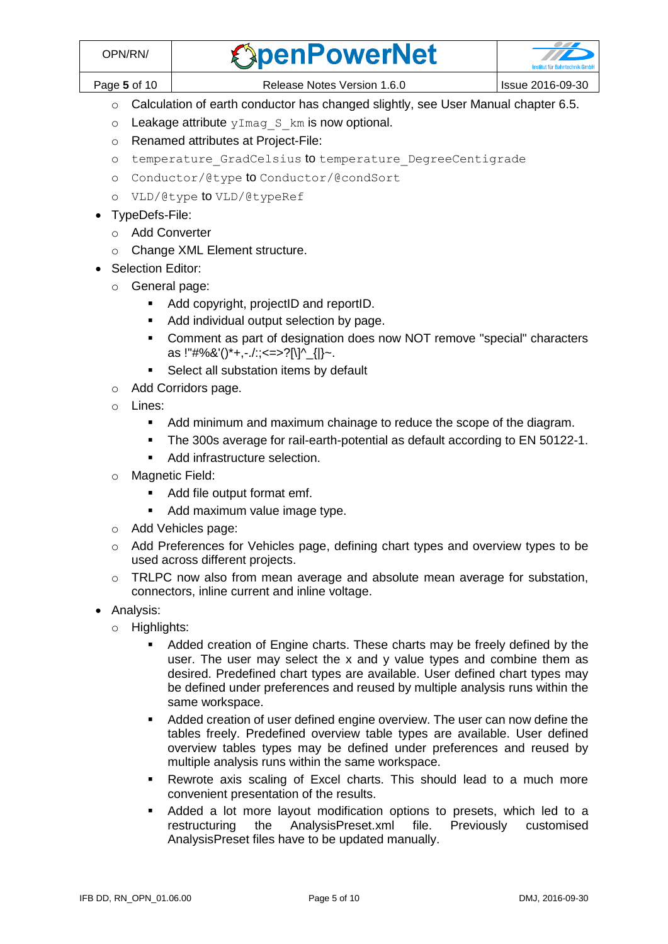Page **5** of 10 **Release Notes Version 1.6.0** Issue 2016-09-30

- o Calculation of earth conductor has changed slightly, see User Manual chapter 6.5.
- $\circ$  Leakage attribute  $yImag$  S km is now optional.
- o Renamed attributes at Project-File:
- o temperature GradCelsius to temperature DegreeCentigrade
- o Conductor/@type to Conductor/@condSort
- o VLD/@type to VLD/@typeRef
- TypeDefs-File:
	- o Add Converter
	- o Change XML Element structure.
- Selection Editor:
	- o General page:
		- Add copyright, projectID and reportID.
		- Add individual output selection by page.
		- Comment as part of designation does now NOT remove "special" characters as !"#%&'()\*+,-./:;<=>?[\]^\_{|}~.
		- **Select all substation items by default**
	- o Add Corridors page.
	- o Lines:
		- Add minimum and maximum chainage to reduce the scope of the diagram.
		- The 300s average for rail-earth-potential as default according to EN 50122-1.
		- Add infrastructure selection.
	- o Magnetic Field:
		- Add file output format emf.
		- Add maximum value image type.
	- o Add Vehicles page:
	- o Add Preferences for Vehicles page, defining chart types and overview types to be used across different projects.
	- o TRLPC now also from mean average and absolute mean average for substation, connectors, inline current and inline voltage.
- Analysis:
	- o Highlights:
		- Added creation of Engine charts. These charts may be freely defined by the user. The user may select the x and y value types and combine them as desired. Predefined chart types are available. User defined chart types may be defined under preferences and reused by multiple analysis runs within the same workspace.
		- Added creation of user defined engine overview. The user can now define the tables freely. Predefined overview table types are available. User defined overview tables types may be defined under preferences and reused by multiple analysis runs within the same workspace.
		- **Rewrote axis scaling of Excel charts. This should lead to a much more** convenient presentation of the results.
		- Added a lot more layout modification options to presets, which led to a restructuring the AnalysisPreset.xml file. Previously customised AnalysisPreset files have to be updated manually.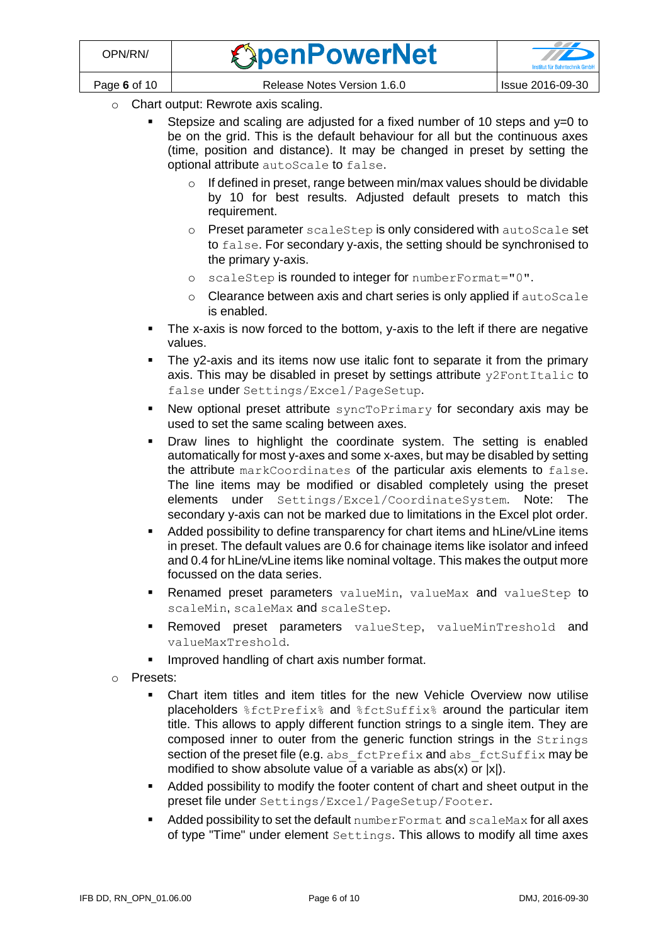- o Chart output: Rewrote axis scaling.
	- Stepsize and scaling are adjusted for a fixed number of 10 steps and y=0 to be on the grid. This is the default behaviour for all but the continuous axes (time, position and distance). It may be changed in preset by setting the optional attribute autoScale to false.
		- o If defined in preset, range between min/max values should be dividable by 10 for best results. Adjusted default presets to match this requirement.
		- o Preset parameter scaleStep is only considered with autoScale set to false. For secondary y-axis, the setting should be synchronised to the primary y-axis.
		- o scaleStep is rounded to integer for numberFormat="0".
		- o Clearance between axis and chart series is only applied if autoScale is enabled.
	- The x-axis is now forced to the bottom, y-axis to the left if there are negative values.
	- The y2-axis and its items now use italic font to separate it from the primary axis. This may be disabled in preset by settings attribute  $y2FontItalic$  to false under Settings/Excel/PageSetup.
	- New optional preset attribute syncToPrimary for secondary axis may be used to set the same scaling between axes.
	- Draw lines to highlight the coordinate system. The setting is enabled automatically for most y-axes and some x-axes, but may be disabled by setting the attribute markCoordinates of the particular axis elements to false. The line items may be modified or disabled completely using the preset elements under Settings/Excel/CoordinateSystem. Note: The secondary y-axis can not be marked due to limitations in the Excel plot order.
	- Added possibility to define transparency for chart items and hLine/vLine items in preset. The default values are 0.6 for chainage items like isolator and infeed and 0.4 for hLine/vLine items like nominal voltage. This makes the output more focussed on the data series.
	- Renamed preset parameters valueMin, valueMax and valueStep to scaleMin, scaleMax and scaleStep.
	- **Removed preset parameters** valueStep, valueMinTreshold and valueMaxTreshold.
	- **IMPROVED handling of chart axis number format.**
- o Presets:
	- Chart item titles and item titles for the new Vehicle Overview now utilise placeholders %fctPrefix% and %fctSuffix% around the particular item title. This allows to apply different function strings to a single item. They are composed inner to outer from the generic function strings in the Strings section of the preset file (e.g. abs fctPrefix and abs fctSuffix may be modified to show absolute value of a variable as abs(x) or  $|x|$ ).
	- Added possibility to modify the footer content of chart and sheet output in the preset file under Settings/Excel/PageSetup/Footer.
	- Added possibility to set the default numberFormat and scaleMax for all axes of type "Time" under element Settings. This allows to modify all time axes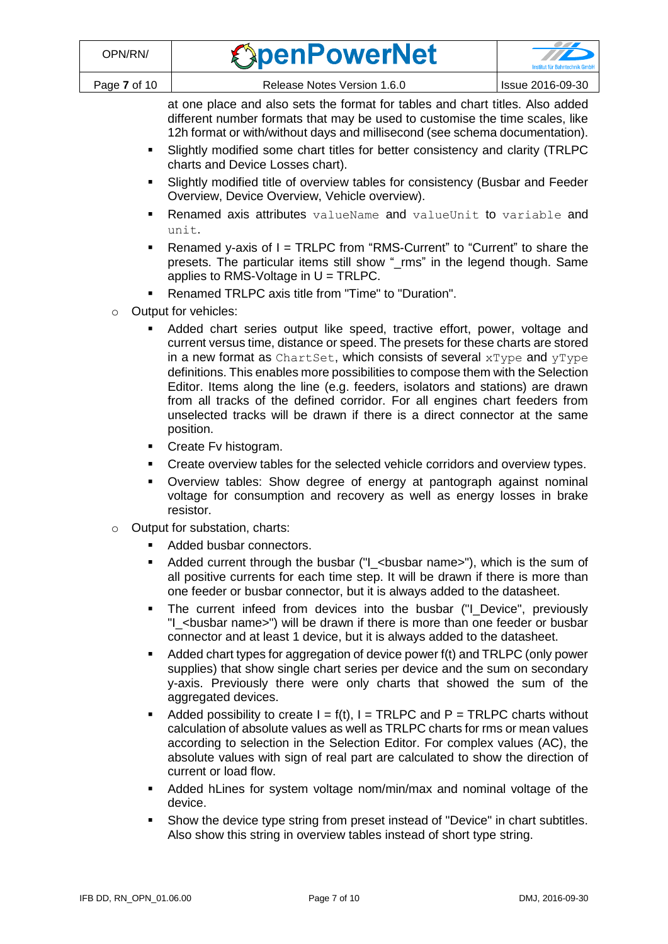| <b>OpenPowerNet</b> |  |
|---------------------|--|
|                     |  |



at one place and also sets the format for tables and chart titles. Also added different number formats that may be used to customise the time scales, like 12h format or with/without days and millisecond (see schema documentation).

- Slightly modified some chart titles for better consistency and clarity (TRLPC charts and Device Losses chart).
- Slightly modified title of overview tables for consistency (Busbar and Feeder Overview, Device Overview, Vehicle overview).
- Renamed axis attributes valueName and valueUnit to variable and unit.
- Renamed y-axis of I = TRLPC from "RMS-Current" to "Current" to share the presets. The particular items still show "\_rms" in the legend though. Same applies to RMS-Voltage in  $U = TRLPC$ .
- Renamed TRLPC axis title from "Time" to "Duration".
- Output for vehicles:
	- Added chart series output like speed, tractive effort, power, voltage and current versus time, distance or speed. The presets for these charts are stored in a new format as ChartSet, which consists of several  $xType$  and  $yType$ definitions. This enables more possibilities to compose them with the Selection Editor. Items along the line (e.g. feeders, isolators and stations) are drawn from all tracks of the defined corridor. For all engines chart feeders from unselected tracks will be drawn if there is a direct connector at the same position.
	- Create Fv histogram.
	- Create overview tables for the selected vehicle corridors and overview types.
	- Overview tables: Show degree of energy at pantograph against nominal voltage for consumption and recovery as well as energy losses in brake resistor.
- o Output for substation, charts:
	- Added busbar connectors.
	- Added current through the busbar ("I\_<br/>show name>"), which is the sum of all positive currents for each time step. It will be drawn if there is more than one feeder or busbar connector, but it is always added to the datasheet.
	- The current infeed from devices into the busbar ("I\_Device", previously "I\_<busbar name>") will be drawn if there is more than one feeder or busbar connector and at least 1 device, but it is always added to the datasheet.
	- Added chart types for aggregation of device power f(t) and TRLPC (only power supplies) that show single chart series per device and the sum on secondary y-axis. Previously there were only charts that showed the sum of the aggregated devices.
	- Added possibility to create  $I = f(t)$ ,  $I = TRLPC$  and  $P = TRLPC$  charts without calculation of absolute values as well as TRLPC charts for rms or mean values according to selection in the Selection Editor. For complex values (AC), the absolute values with sign of real part are calculated to show the direction of current or load flow.
	- Added hLines for system voltage nom/min/max and nominal voltage of the device.
	- Show the device type string from preset instead of "Device" in chart subtitles. Also show this string in overview tables instead of short type string.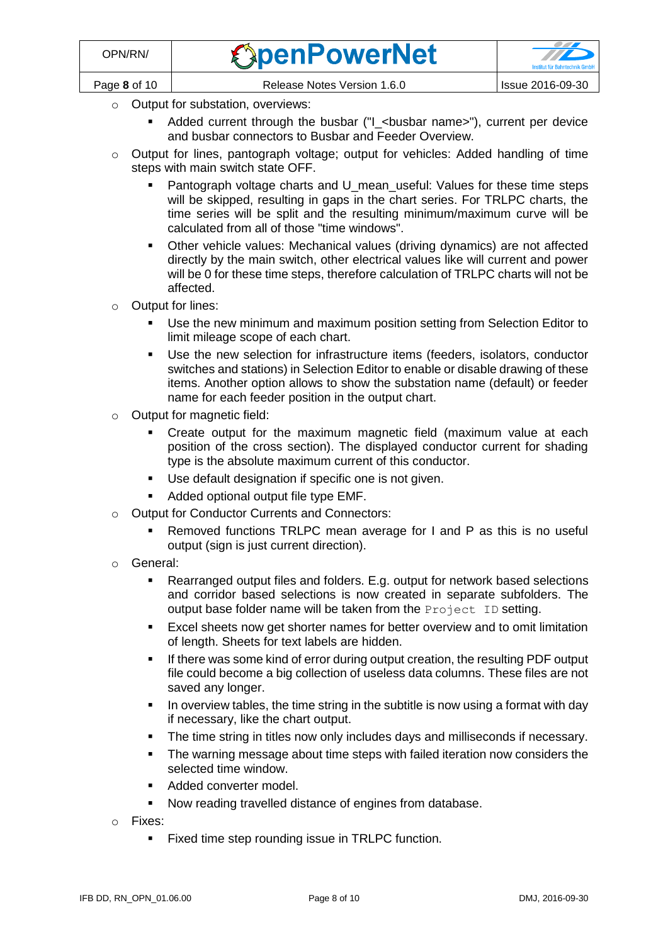

- o Output for substation, overviews:
	- Added current through the busbar ("I\_<br/>bustar name>"), current per device and busbar connectors to Busbar and Feeder Overview.
- $\circ$  Output for lines, pantograph voltage; output for vehicles: Added handling of time steps with main switch state OFF.
	- Pantograph voltage charts and U\_mean\_useful: Values for these time steps will be skipped, resulting in gaps in the chart series. For TRLPC charts, the time series will be split and the resulting minimum/maximum curve will be calculated from all of those "time windows".
	- Other vehicle values: Mechanical values (driving dynamics) are not affected directly by the main switch, other electrical values like will current and power will be 0 for these time steps, therefore calculation of TRLPC charts will not be affected.
- o Output for lines:
	- Use the new minimum and maximum position setting from Selection Editor to limit mileage scope of each chart.
	- Use the new selection for infrastructure items (feeders, isolators, conductor switches and stations) in Selection Editor to enable or disable drawing of these items. Another option allows to show the substation name (default) or feeder name for each feeder position in the output chart.
- o Output for magnetic field:
	- Create output for the maximum magnetic field (maximum value at each position of the cross section). The displayed conductor current for shading type is the absolute maximum current of this conductor.
	- Use default designation if specific one is not given.
	- Added optional output file type EMF.
- o Output for Conductor Currents and Connectors:
	- Removed functions TRLPC mean average for I and P as this is no useful output (sign is just current direction).
- o General:
	- Rearranged output files and folders. E.g. output for network based selections and corridor based selections is now created in separate subfolders. The output base folder name will be taken from the Project ID setting.
	- **Excel sheets now get shorter names for better overview and to omit limitation** of length. Sheets for text labels are hidden.
	- If there was some kind of error during output creation, the resulting PDF output file could become a big collection of useless data columns. These files are not saved any longer.
	- In overview tables, the time string in the subtitle is now using a format with day if necessary, like the chart output.
	- The time string in titles now only includes days and milliseconds if necessary.
	- The warning message about time steps with failed iteration now considers the selected time window.
	- Added converter model.
	- Now reading travelled distance of engines from database.
- o Fixes:
	- **Fixed time step rounding issue in TRLPC function.**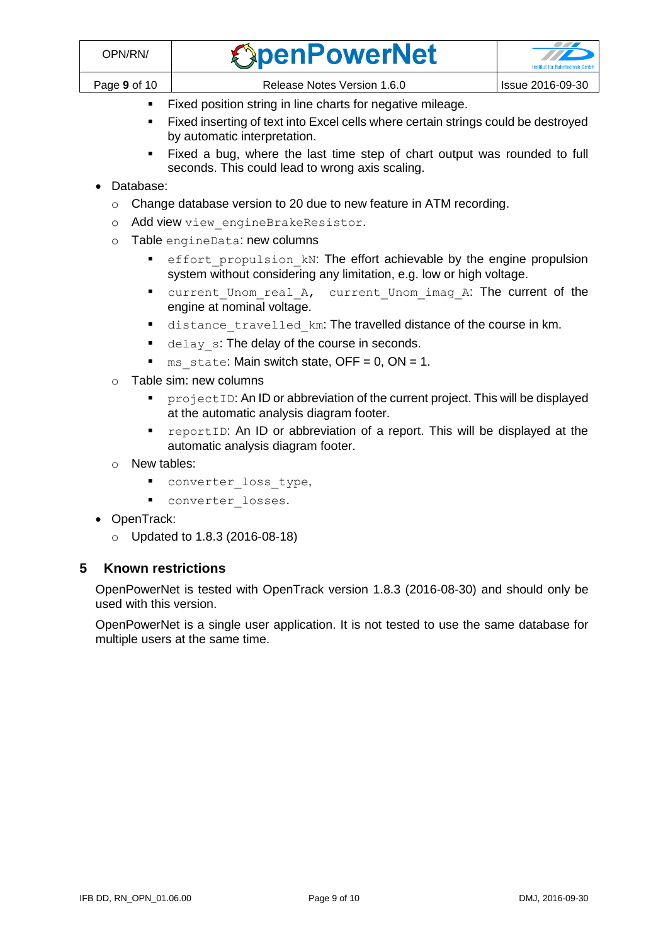- Fixed position string in line charts for negative mileage.
- Fixed inserting of text into Excel cells where certain strings could be destroyed by automatic interpretation.
- Fixed a bug, where the last time step of chart output was rounded to full seconds. This could lead to wrong axis scaling.

#### • Database:

- o Change database version to 20 due to new feature in ATM recording.
- o Add view view engineBrakeResistor.
- o Table engineData: new columns
	- effort propulsion kN: The effort achievable by the engine propulsion system without considering any limitation, e.g. low or high voltage.
	- current\_Unom\_real\_A, current\_Unom\_imag\_A: The current of the engine at nominal voltage.
	- distance travelled km: The travelled distance of the course in km.
	- delay s: The delay of the course in seconds.
	- ms state: Main switch state,  $OFF = 0$ ,  $ON = 1$ .
- o Table sim: new columns
	- **PEDPECTIO:** An ID or abbreviation of the current project. This will be displayed at the automatic analysis diagram footer.
	- reportID: An ID or abbreviation of a report. This will be displayed at the automatic analysis diagram footer.
- o New tables:
	- converter\_loss\_type,
	- **·** converter losses.
- OpenTrack:
	- o Updated to 1.8.3 (2016-08-18)

## **5 Known restrictions**

OpenPowerNet is tested with OpenTrack version 1.8.3 (2016-08-30) and should only be used with this version.

OpenPowerNet is a single user application. It is not tested to use the same database for multiple users at the same time.